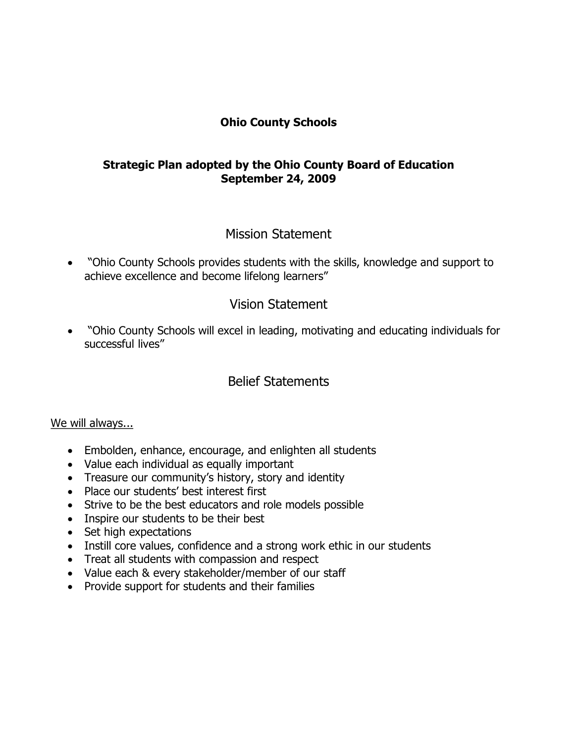### **Ohio County Schools**

#### **Strategic Plan adopted by the Ohio County Board of Education September 24, 2009**

# Mission Statement

· "Ohio County Schools provides students with the skills, knowledge and support to achieve excellence and become lifelong learners"

# Vision Statement

· "Ohio County Schools will excel in leading, motivating and educating individuals for successful lives"

# Belief Statements

#### We will always...

- · Embolden, enhance, encourage, and enlighten all students
- · Value each individual as equally important
- · Treasure our community's history, story and identity
- · Place our students' best interest first
- · Strive to be the best educators and role models possible
- · Inspire our students to be their best
- Set high expectations
- Instill core values, confidence and a strong work ethic in our students
- · Treat all students with compassion and respect
- · Value each & every stakeholder/member of our staff
- · Provide support for students and their families